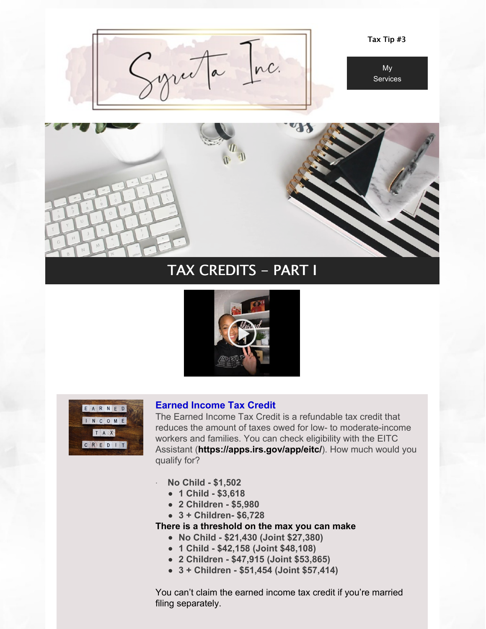

Tax Tip #3





# TAX CREDITS - PART I





### **Earned Income Tax Credit**

The Earned Income Tax Credit is a refundable tax credit that reduces the amount of taxes owed for low- to moderate-income workers and families. You can check eligibility with the EITC Assistant (**<https://apps.irs.gov/app/eitc/>**). How much would you qualify for?

- · **No Child - \$1,502**
	- **1 Child - \$3,618**
	- **2 Children - \$5,980**
	- **3 + Children- \$6,728**

**There is a threshold on the max you can make**

- **No Child - \$21,430 (Joint \$27,380)**
- **1 Child - \$42,158 (Joint \$48,108)**
- **2 Children - \$47,915 (Joint \$53,865)**
- **3 + Children - \$51,454 (Joint \$57,414)**

You can't claim the earned income tax credit if you're married filing separately.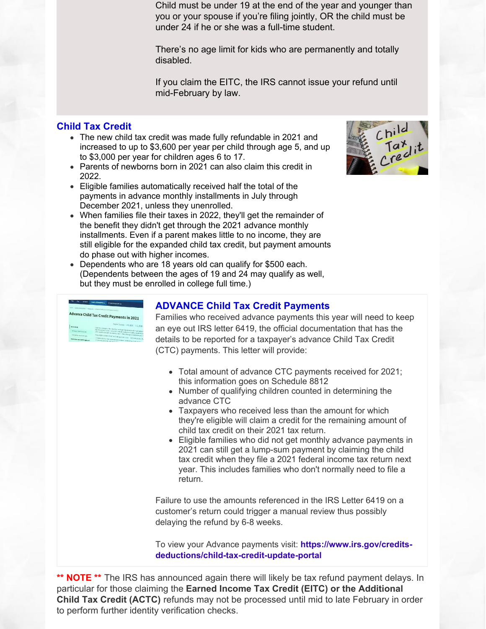Child must be under 19 at the end of the year and younger than you or your spouse if you're filing jointly, OR the child must be under 24 if he or she was a full-time student.

There's no age limit for kids who are permanently and totally disabled.

If you claim the EITC, the IRS cannot issue your refund until mid-February by law.

# **Child Tax Credit**

- The new child tax credit was made fully refundable in 2021 and increased to up to \$3,600 per year per child through age 5, and up to \$3,000 per year for children ages 6 to 17.
- Parents of newborns born in 2021 can also claim this credit in 2022.
- Eligible families automatically received half the total of the payments in advance monthly installments in July through December 2021, unless they unenrolled.
- When families file their taxes in 2022, they'll get the remainder of the benefit they didn't get through the 2021 advance monthly installments. Even if a parent makes little to no income, they are still eligible for the expanded child tax credit, but payment amounts do phase out with higher incomes.
- Dependents who are 18 years old can qualify for \$500 each. (Dependents between the ages of 19 and 24 may qualify as well, but they must be enrolled in college full time.)

| Feb-             | Ph. | <b>Schools</b>                     | <b>Credits &amp; Deductions</b>                                                        | <b>Ecres &amp; European</b>                                                                                                                                      |  |  |
|------------------|-----|------------------------------------|----------------------------------------------------------------------------------------|------------------------------------------------------------------------------------------------------------------------------------------------------------------|--|--|
|                  |     |                                    | cance a Gastra & Beductions if includedly a literature Craft technology presents and a |                                                                                                                                                                  |  |  |
|                  |     |                                    |                                                                                        | Advance Child Tax Credit Payments in 2021                                                                                                                        |  |  |
| <b>Interdups</b> |     |                                    |                                                                                        | Taglen   Europe   世文学生   生文/天教                                                                                                                                   |  |  |
|                  |     | Arrest Ond Tax Grade               |                                                                                        | Triportal Lichtinges to the Uniti Specieshi and help many facing existing<br>The IPS in 8 payment the rotal credit constant in advertising control y payments in |  |  |
|                  |     | <b>Enned Income Rectivals</b>      |                                                                                        | after you file your 2021 income tax return. These changes at ply to Lie your ,<br>loqually by a reason O do Tax C odi; poveres 5, you - and your spouse, if      |  |  |
|                  |     | <b>Bedressen and Self Employed</b> |                                                                                        | . Filled a 2014 or 2020 can recurre and claimed the Oni of Tax Coveta annual                                                                                     |  |  |

# **ADVANCE Child Tax Credit Payments**

Families who received advance payments this year will need to keep an eye out IRS letter 6419, the official documentation that has the details to be reported for a taxpayer's advance Child Tax Credit (CTC) payments. This letter will provide:

- Total amount of advance CTC payments received for 2021; this information goes on Schedule 8812
- Number of qualifying children counted in determining the advance CTC
- Taxpayers who received less than the amount for which they're eligible will claim a credit for the remaining amount of child tax credit on their 2021 tax return.
- Eligible families who did not get monthly advance payments in 2021 can still get a lump-sum payment by claiming the child tax credit when they file a 2021 federal income tax return next year. This includes families who don't normally need to file a return.

Failure to use the amounts referenced in the IRS Letter 6419 on a customer's return could trigger a manual review thus possibly delaying the refund by 6-8 weeks.

To view your Advance payments visit: **https://www.irs.gov/credits[deductions/child-tax-credit-update-portal](https://www.irs.gov/credits-deductions/child-tax-credit-update-portal)**

**\*\* NOTE \*\*** The IRS has announced again there will likely be tax refund payment delays. In particular for those claiming the **Earned Income Tax Credit (EITC) or the Additional Child Tax Credit (ACTC)** refunds may not be processed until mid to late February in order to perform further identity verification checks.

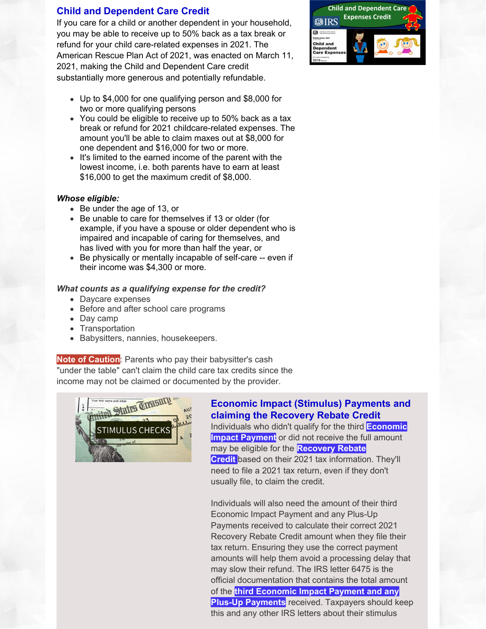### **Child and Dependent Care Credit**

If you care for a child or another dependent in your household, you may be able to receive up to 50% back as a tax break or refund for your child care-related expenses in 2021. The American Rescue Plan Act of 2021, was enacted on March 11, 2021, making the Child and Dependent Care credit substantially more generous and potentially refundable.

- Up to \$4,000 for one qualifying person and \$8,000 for two or more qualifying persons
- You could be eligible to receive up to 50% back as a tax break or refund for 2021 childcare-related expenses. The amount you'll be able to claim maxes out at \$8,000 for one dependent and \$16,000 for two or more.
- It's limited to the earned income of the parent with the lowest income, i.e. both parents have to earn at least \$16,000 to get the maximum credit of \$8,000.

#### *Whose eligible:*

- Be under the age of 13, or
- Be unable to care for themselves if 13 or older (for example, if you have a spouse or older dependent who is impaired and incapable of caring for themselves, and has lived with you for more than half the year, or
- Be physically or mentally incapable of self-care -- even if their income was \$4,300 or more.

#### *What counts as a qualifying expense for the credit?*

- Daycare expenses
- Before and after school care programs
- Day camp
- Transportation
- Babysitters, nannies, housekeepers.  $\bullet$

### **Note of Caution**: Parents who pay their babysitter's cash

"under the table" can't claim the child care tax credits since the income may not be claimed or documented by the provider.



# **Economic Impact (Stimulus) Payments and claiming the Recovery Rebate Credit**

[Individuals](https://www.irs.gov/coronavirus/economic-impact-payment-information-center) who didn't qualify for the third **Economic Impact Payment** or did not receive the full amount may be eligible for the **[Recovery](https://www.irs.gov/newsroom/recovery-rebate-credit) Rebate Credit** based on their 2021 tax information. They'll need to file a 2021 tax return, even if they don't usually file, to claim the credit.

Individuals will also need the amount of their third Economic Impact Payment and any Plus-Up Payments received to calculate their correct 2021 Recovery Rebate Credit amount when they file their tax return. Ensuring they use the correct payment amounts will help them avoid a processing delay that may slow their refund. The IRS letter 6475 is the official documentation that contains the total amount of the **third [Economic](https://www.irs.gov/coronavirus/third-economic-impact-payment) Impact Payment and any Plus-Up Payments** received. Taxpayers should keep this and any other IRS letters about their stimulus

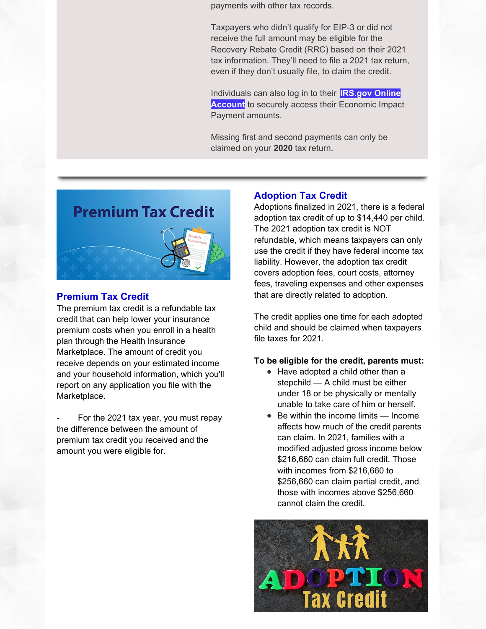payments with other tax records.

Taxpayers who didn't qualify for EIP-3 or did not receive the full amount may be eligible for the Recovery Rebate Credit (RRC) based on their 2021 tax information. They'll need to file a 2021 tax return, even if they don't usually file, to claim the credit.

[Individuals](https://www.irs.gov/payments/your-online-account) can also log in to their **IRS.gov Online Account** to securely access their Economic Impact Payment amounts.

Missing first and second payments can only be claimed on your **2020** tax return.



### **Premium Tax Credit**

The premium tax credit is a refundable tax credit that can help lower your insurance premium costs when you enroll in a health plan through the Health Insurance Marketplace. The amount of credit you receive depends on your estimated income and your household information, which you'll report on any application you file with the Marketplace.

For the 2021 tax year, you must repay the difference between the amount of premium tax credit you received and the amount you were eligible for.

#### **Adoption Tax Credit**

Adoptions finalized in 2021, there is a federal adoption tax credit of up to \$14,440 per child. The 2021 adoption tax credit is NOT refundable, which means taxpayers can only use the credit if they have federal income tax liability. However, the adoption tax credit covers adoption fees, court costs, attorney fees, traveling expenses and other expenses that are directly related to adoption.

The credit applies one time for each adopted child and should be claimed when taxpayers file taxes for 2021.

#### **To be eligible for the credit, parents must:**

- Have adopted a child other than a stepchild — A child must be either under 18 or be physically or mentally unable to take care of him or herself.
- Be within the income limits Income affects how much of the credit parents can claim. In 2021, families with a modified adjusted gross income below \$216,660 can claim full credit. Those with incomes from \$216,660 to \$256,660 can claim partial credit, and those with incomes above \$256,660 cannot claim the credit.

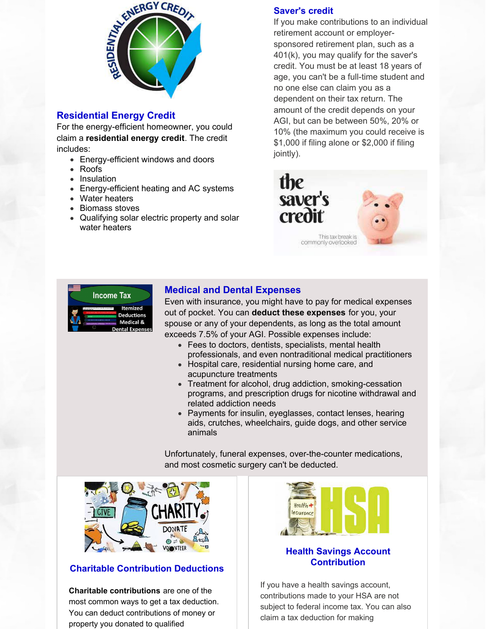

### **Residential Energy Credit**

For the energy-efficient homeowner, you could claim a **[residential](https://www.irs.gov/newsroom/energy-incentives-for-individuals-residential-property-updated-questions-and-answers) energy credit**. The credit includes:

- Energy-efficient windows and doors
- Roofs
- Insulation
- Energy-efficient heating and AC systems
- Water heaters
- Biomass stoves
- Qualifying solar electric property and solar water heaters

### **Saver's credit**

If you make contributions to an individual retirement account or employersponsored retirement plan, such as a 401(k), you may qualify for the saver's credit. You must be at least 18 years of age, you can't be a full-time student and no one else can claim you as a dependent on their tax return. The amount of the credit depends on your AGI, but can be between 50%, 20% or 10% (the maximum you could receive is \$1,000 if filing alone or \$2,000 if filing jointly).





### **Medical and Dental Expenses**

Even with insurance, you might have to pay for medical expenses out of pocket. You can **deduct these [expenses](https://www.irs.gov/taxtopics/tc502)** for you, your spouse or any of your dependents, as long as the total amount exceeds 7.5% of your AGI. Possible expenses include:

- Fees to doctors, dentists, specialists, mental health professionals, and even nontraditional medical practitioners
- Hospital care, residential nursing home care, and acupuncture treatments
- Treatment for alcohol, drug addiction, smoking-cessation programs, and prescription drugs for nicotine withdrawal and related addiction needs
- Payments for insulin, eyeglasses, contact lenses, hearing aids, crutches, wheelchairs, guide dogs, and other service animals

Unfortunately, funeral expenses, over-the-counter medications, and most cosmetic surgery can't be deducted.



### **Charitable Contribution Deductions**

**Charitable [contributions](https://www.irs.gov/charities-non-profits/charitable-organizations/charitable-contribution-deductions)** are one of the most common ways to get a tax deduction. You can deduct contributions of money or property you donated to qualified



### **Health Savings Account Contribution**

If you have a health savings account, contributions made to your HSA are not subject to federal income tax. You can also claim a tax deduction for making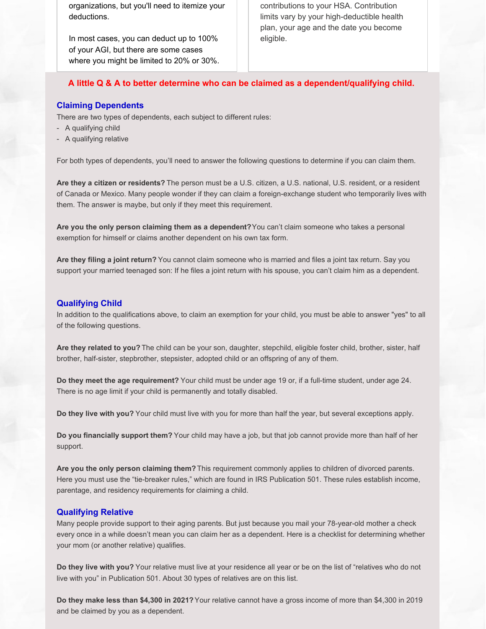organizations, but you'll need to itemize your deductions.

In most cases, you can deduct up to 100% of your AGI, but there are some cases where you might be limited to 20% or 30%. contributions to your HSA. Contribution limits vary by your high-deductible health plan, your age and the date you become eligible.

#### **A little Q & A to better determine who can be claimed as a dependent/qualifying child.**

#### **Claiming Dependents**

There are two types of dependents, each subject to different rules:

- A qualifying child
- A qualifying relative

For both types of dependents, you'll need to answer the following questions to determine if you can claim them.

**Are they a citizen or residents?** The person must be a U.S. citizen, a U.S. national, U.S. resident, or a resident of Canada or Mexico. Many people wonder if they can claim a foreign-exchange student who temporarily lives with them. The answer is maybe, but only if they meet this requirement.

**Are you the only person claiming them as a dependent?**You can't claim someone who takes a personal exemption for himself or claims another dependent on his own tax form.

**Are they filing a joint return?** You cannot claim someone who is married and files a joint tax return. Say you support your married teenaged son: If he files a joint return with his spouse, you can't claim him as a dependent.

#### **Qualifying Child**

In addition to the qualifications above, to claim an exemption for your child, you must be able to answer "yes" to all of the following questions.

**Are they related to you?** The child can be your son, daughter, stepchild, eligible foster child, brother, sister, half brother, half-sister, stepbrother, stepsister, adopted child or an offspring of any of them.

**Do they meet the age requirement?** Your child must be under age 19 or, if a full-time student, under age 24. There is no age limit if your child is permanently and totally disabled.

**Do they live with you?** Your child must live with you for more than half the year, but several exceptions apply.

**Do you financially support them?** Your child may have a job, but that job cannot provide more than half of her support.

**Are you the only person claiming them?** This requirement commonly applies to children of divorced parents. Here you must use the "tie-breaker rules," which are found in IRS Publication 501. These rules establish income, parentage, and residency requirements for claiming a child.

#### **Qualifying Relative**

Many people provide support to their aging parents. But just because you mail your 78-year-old mother a check every once in a while doesn't mean you can claim her as a dependent. Here is a checklist for determining whether your mom (or another relative) qualifies.

**Do they live with you?** Your relative must live at your residence all year or be on the list of "relatives who do not live with you" in Publication 501. About 30 types of relatives are on this list.

**Do they make less than \$4,300 in 2021?**Your relative cannot have a gross income of more than \$4,300 in 2019 and be claimed by you as a dependent.